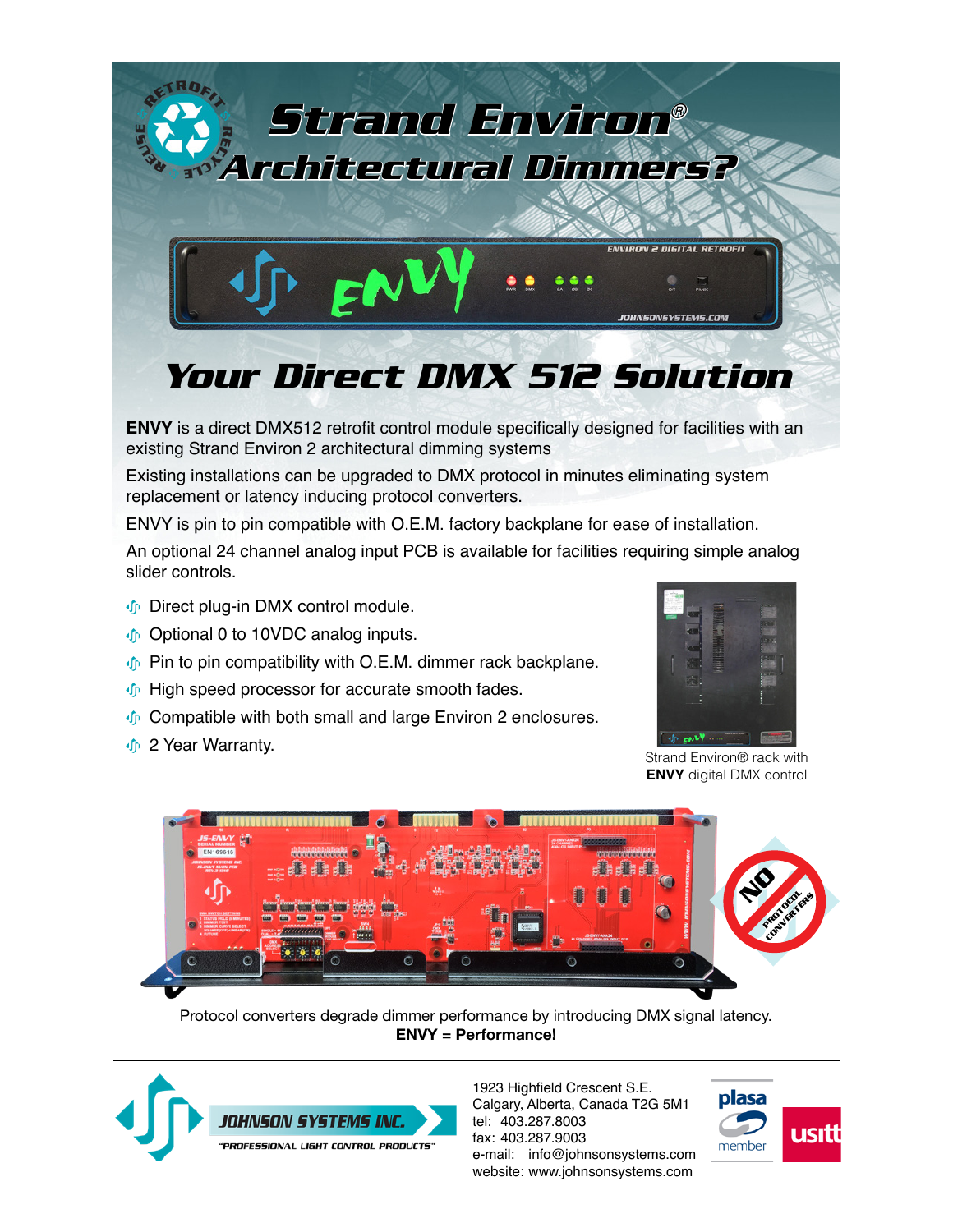

**ENVY** is a direct DMX512 retrofit control module specifically designed for facilities with an existing Strand Environ 2 architectural dimming systems

Existing installations can be upgraded to DMX protocol in minutes eliminating system replacement or latency inducing protocol converters.

ENVY is pin to pin compatible with O.E.M. factory backplane for ease of installation.

An optional 24 channel analog input PCB is available for facilities requiring simple analog slider controls.

- **Direct plug-in DMX control module.**
- Optional 0 to 10VDC analog inputs.
- $\Phi$  Pin to pin compatibility with O.E.M. dimmer rack backplane.
- $\Phi$  High speed processor for accurate smooth fades.
- $\Phi$  Compatible with both small and large Environ 2 enclosures.
- *I* 2 Year Warranty.



Strand Environ® rack with **ENVY** digital DMX control



Protocol converters degrade dimmer performance by introducing DMX signal latency. **ENVY = Performance!**



1923 Highfield Crescent S.E. Calgary, Alberta, Canada T2G 5M1 tel: 403.287.8003 fax: 403.287.9003 e-mail: info@johnsonsystems.com website: www.johnsonsystems.com